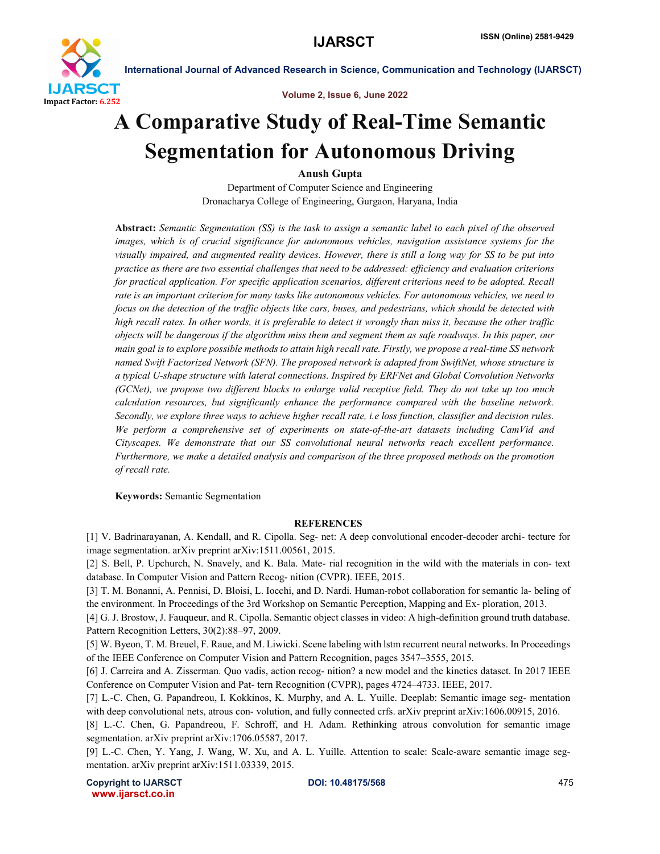

Volume 2, Issue 6, June 2022

# A Comparative Study of Real-Time Semantic Segmentation for Autonomous Driving

Anush Gupta

Department of Computer Science and Engineering Dronacharya College of Engineering, Gurgaon, Haryana, India

Abstract: *Semantic Segmentation (SS) is the task to assign a semantic label to each pixel of the observed images, which is of crucial significance for autonomous vehicles, navigation assistance systems for the visually impaired, and augmented reality devices. However, there is still a long way for SS to be put into practice as there are two essential challenges that need to be addressed: efficiency and evaluation criterions for practical application. For specific application scenarios, different criterions need to be adopted. Recall rate is an important criterion for many tasks like autonomous vehicles. For autonomous vehicles, we need to focus on the detection of the traffic objects like cars, buses, and pedestrians, which should be detected with high recall rates. In other words, it is preferable to detect it wrongly than miss it, because the other traffic objects will be dangerous if the algorithm miss them and segment them as safe roadways. In this paper, our main goal is to explore possible methods to attain high recall rate. Firstly, we propose a real-time SS network named Swift Factorized Network (SFN). The proposed network is adapted from SwiftNet, whose structure is a typical U-shape structure with lateral connections. Inspired by ERFNet and Global Convolution Networks (GCNet), we propose two different blocks to enlarge valid receptive field. They do not take up too much calculation resources, but significantly enhance the performance compared with the baseline network. Secondly, we explore three ways to achieve higher recall rate, i.e loss function, classifier and decision rules. We perform a comprehensive set of experiments on state-of-the-art datasets including CamVid and Cityscapes. We demonstrate that our SS convolutional neural networks reach excellent performance. Furthermore, we make a detailed analysis and comparison of the three proposed methods on the promotion of recall rate.*

Keywords: Semantic Segmentation

#### **REFERENCES**

[1] V. Badrinarayanan, A. Kendall, and R. Cipolla. Seg- net: A deep convolutional encoder-decoder archi- tecture for image segmentation. arXiv preprint arXiv:1511.00561, 2015.

[2] S. Bell, P. Upchurch, N. Snavely, and K. Bala. Mate- rial recognition in the wild with the materials in con- text database. In Computer Vision and Pattern Recog- nition (CVPR). IEEE, 2015.

[3] T. M. Bonanni, A. Pennisi, D. Bloisi, L. Iocchi, and D. Nardi. Human-robot collaboration for semantic la- beling of the environment. In Proceedings of the 3rd Workshop on Semantic Perception, Mapping and Ex- ploration, 2013.

[4] G. J. Brostow, J. Fauqueur, and R. Cipolla. Semantic object classes in video: A high-definition ground truth database. Pattern Recognition Letters, 30(2):88–97, 2009.

[5] W. Byeon, T. M. Breuel, F. Raue, and M. Liwicki. Scene labeling with lstm recurrent neural networks. In Proceedings of the IEEE Conference on Computer Vision and Pattern Recognition, pages 3547–3555, 2015.

[6] J. Carreira and A. Zisserman. Quo vadis, action recog- nition? a new model and the kinetics dataset. In 2017 IEEE Conference on Computer Vision and Pat- tern Recognition (CVPR), pages 4724–4733. IEEE, 2017.

[7] L.-C. Chen, G. Papandreou, I. Kokkinos, K. Murphy, and A. L. Yuille. Deeplab: Semantic image seg- mentation with deep convolutional nets, atrous con- volution, and fully connected crfs. arXiv preprint arXiv:1606.00915, 2016.

[8] L.-C. Chen, G. Papandreou, F. Schroff, and H. Adam. Rethinking atrous convolution for semantic image segmentation. arXiv preprint arXiv:1706.05587, 2017.

[9] L.-C. Chen, Y. Yang, J. Wang, W. Xu, and A. L. Yuille. Attention to scale: Scale-aware semantic image segmentation. arXiv preprint arXiv:1511.03339, 2015.

Copyright to IJARSCT **DOI: 10.48175/568** 475 www.ijarsct.co.in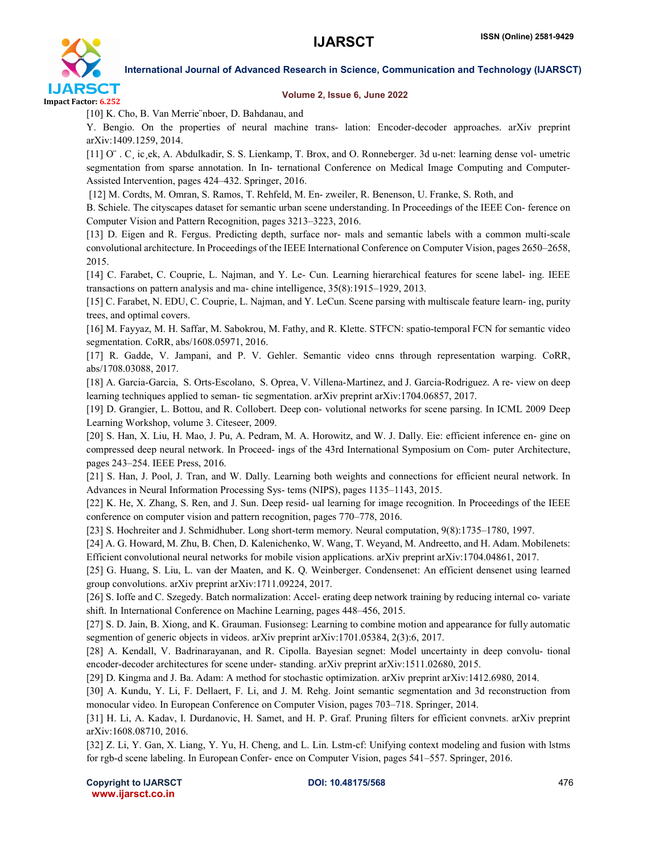

#### Volume 2, Issue 6, June 2022

[10] K. Cho, B. Van Merrie¨nboer, D. Bahdanau, and

Y. Bengio. On the properties of neural machine trans- lation: Encoder-decoder approaches. arXiv preprint arXiv:1409.1259, 2014.

[11] O¨ . C¸ ic¸ek, A. Abdulkadir, S. S. Lienkamp, T. Brox, and O. Ronneberger. 3d u-net: learning dense vol- umetric segmentation from sparse annotation. In In- ternational Conference on Medical Image Computing and Computer-Assisted Intervention, pages 424–432. Springer, 2016.

[12] M. Cordts, M. Omran, S. Ramos, T. Rehfeld, M. En- zweiler, R. Benenson, U. Franke, S. Roth, and

B. Schiele. The cityscapes dataset for semantic urban scene understanding. In Proceedings of the IEEE Con- ference on Computer Vision and Pattern Recognition, pages 3213–3223, 2016.

[13] D. Eigen and R. Fergus. Predicting depth, surface nor- mals and semantic labels with a common multi-scale convolutional architecture. In Proceedings of the IEEE International Conference on Computer Vision, pages 2650–2658, 2015.

[14] C. Farabet, C. Couprie, L. Najman, and Y. Le- Cun. Learning hierarchical features for scene label- ing. IEEE transactions on pattern analysis and ma- chine intelligence, 35(8):1915–1929, 2013.

[15] C. Farabet, N. EDU, C. Couprie, L. Najman, and Y. LeCun. Scene parsing with multiscale feature learn- ing, purity trees, and optimal covers.

[16] M. Fayyaz, M. H. Saffar, M. Sabokrou, M. Fathy, and R. Klette. STFCN: spatio-temporal FCN for semantic video segmentation. CoRR, abs/1608.05971, 2016.

[17] R. Gadde, V. Jampani, and P. V. Gehler. Semantic video cnns through representation warping. CoRR, abs/1708.03088, 2017.

[18] A. Garcia-Garcia, S. Orts-Escolano, S. Oprea, V. Villena-Martinez, and J. Garcia-Rodriguez. A re- view on deep learning techniques applied to seman- tic segmentation. arXiv preprint arXiv:1704.06857, 2017.

[19] D. Grangier, L. Bottou, and R. Collobert. Deep con- volutional networks for scene parsing. In ICML 2009 Deep Learning Workshop, volume 3. Citeseer, 2009.

[20] S. Han, X. Liu, H. Mao, J. Pu, A. Pedram, M. A. Horowitz, and W. J. Dally. Eie: efficient inference en- gine on compressed deep neural network. In Proceed- ings of the 43rd International Symposium on Com- puter Architecture, pages 243–254. IEEE Press, 2016.

[21] S. Han, J. Pool, J. Tran, and W. Dally. Learning both weights and connections for efficient neural network. In Advances in Neural Information Processing Sys- tems (NIPS), pages 1135–1143, 2015.

[22] K. He, X. Zhang, S. Ren, and J. Sun. Deep resid- ual learning for image recognition. In Proceedings of the IEEE conference on computer vision and pattern recognition, pages 770–778, 2016.

[23] S. Hochreiter and J. Schmidhuber. Long short-term memory. Neural computation, 9(8):1735–1780, 1997.

[24] A. G. Howard, M. Zhu, B. Chen, D. Kalenichenko, W. Wang, T. Weyand, M. Andreetto, and H. Adam. Mobilenets: Efficient convolutional neural networks for mobile vision applications. arXiv preprint arXiv:1704.04861, 2017.

[25] G. Huang, S. Liu, L. van der Maaten, and K. Q. Weinberger. Condensenet: An efficient densenet using learned group convolutions. arXiv preprint arXiv:1711.09224, 2017.

[26] S. Ioffe and C. Szegedy. Batch normalization: Accel- erating deep network training by reducing internal co- variate shift. In International Conference on Machine Learning, pages 448–456, 2015.

[27] S. D. Jain, B. Xiong, and K. Grauman. Fusionseg: Learning to combine motion and appearance for fully automatic segmention of generic objects in videos. arXiv preprint arXiv:1701.05384, 2(3):6, 2017.

[28] A. Kendall, V. Badrinarayanan, and R. Cipolla. Bayesian segnet: Model uncertainty in deep convolu- tional encoder-decoder architectures for scene under- standing. arXiv preprint arXiv:1511.02680, 2015.

[29] D. Kingma and J. Ba. Adam: A method for stochastic optimization. arXiv preprint arXiv:1412.6980, 2014.

[30] A. Kundu, Y. Li, F. Dellaert, F. Li, and J. M. Rehg. Joint semantic segmentation and 3d reconstruction from monocular video. In European Conference on Computer Vision, pages 703–718. Springer, 2014.

[31] H. Li, A. Kadav, I. Durdanovic, H. Samet, and H. P. Graf. Pruning filters for efficient convnets. arXiv preprint arXiv:1608.08710, 2016.

[32] Z. Li, Y. Gan, X. Liang, Y. Yu, H. Cheng, and L. Lin. Lstm-cf: Unifying context modeling and fusion with lstms for rgb-d scene labeling. In European Confer- ence on Computer Vision, pages 541–557. Springer, 2016.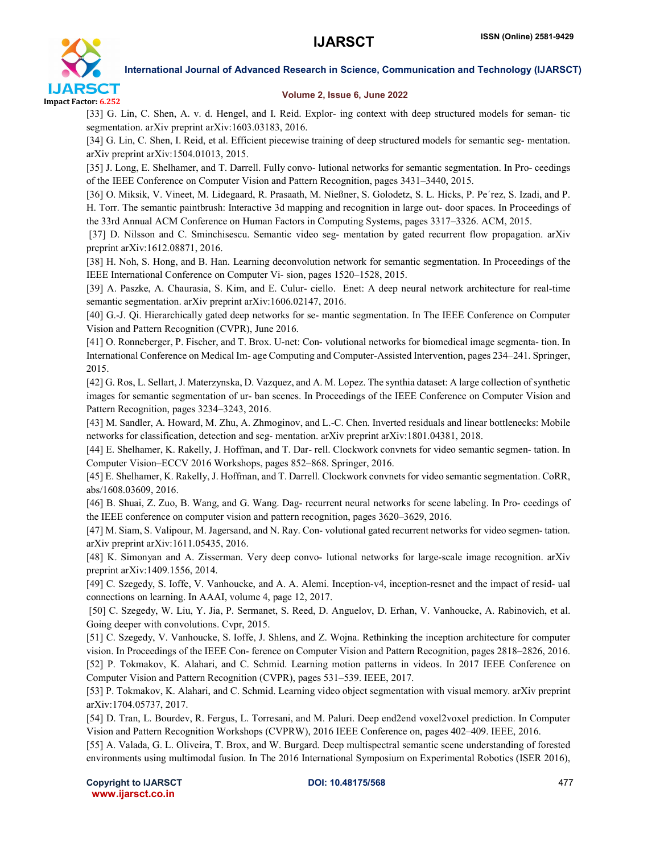

#### Volume 2, Issue 6, June 2022

[33] G. Lin, C. Shen, A. v. d. Hengel, and I. Reid. Explor- ing context with deep structured models for seman- tic segmentation. arXiv preprint arXiv:1603.03183, 2016.

[34] G. Lin, C. Shen, I. Reid, et al. Efficient piecewise training of deep structured models for semantic seg- mentation. arXiv preprint arXiv:1504.01013, 2015.

[35] J. Long, E. Shelhamer, and T. Darrell. Fully convo- lutional networks for semantic segmentation. In Pro- ceedings of the IEEE Conference on Computer Vision and Pattern Recognition, pages 3431–3440, 2015.

[36] O. Miksik, V. Vineet, M. Lidegaard, R. Prasaath, M. Nießner, S. Golodetz, S. L. Hicks, P. Pe´rez, S. Izadi, and P. H. Torr. The semantic paintbrush: Interactive 3d mapping and recognition in large out- door spaces. In Proceedings of the 33rd Annual ACM Conference on Human Factors in Computing Systems, pages 3317–3326. ACM, 2015.

[37] D. Nilsson and C. Sminchisescu. Semantic video seg- mentation by gated recurrent flow propagation. arXiv preprint arXiv:1612.08871, 2016.

[38] H. Noh, S. Hong, and B. Han. Learning deconvolution network for semantic segmentation. In Proceedings of the IEEE International Conference on Computer Vi- sion, pages 1520–1528, 2015.

[39] A. Paszke, A. Chaurasia, S. Kim, and E. Culur- ciello. Enet: A deep neural network architecture for real-time semantic segmentation. arXiv preprint arXiv:1606.02147, 2016.

[40] G.-J. Qi. Hierarchically gated deep networks for se- mantic segmentation. In The IEEE Conference on Computer Vision and Pattern Recognition (CVPR), June 2016.

[41] O. Ronneberger, P. Fischer, and T. Brox. U-net: Con- volutional networks for biomedical image segmenta- tion. In International Conference on Medical Im- age Computing and Computer-Assisted Intervention, pages 234–241. Springer, 2015.

[42] G. Ros, L. Sellart, J. Materzynska, D. Vazquez, and A. M. Lopez. The synthia dataset: A large collection of synthetic images for semantic segmentation of ur- ban scenes. In Proceedings of the IEEE Conference on Computer Vision and Pattern Recognition, pages 3234–3243, 2016.

[43] M. Sandler, A. Howard, M. Zhu, A. Zhmoginov, and L.-C. Chen. Inverted residuals and linear bottlenecks: Mobile networks for classification, detection and seg- mentation. arXiv preprint arXiv:1801.04381, 2018.

[44] E. Shelhamer, K. Rakelly, J. Hoffman, and T. Dar- rell. Clockwork convnets for video semantic segmen- tation. In Computer Vision–ECCV 2016 Workshops, pages 852–868. Springer, 2016.

[45] E. Shelhamer, K. Rakelly, J. Hoffman, and T. Darrell. Clockwork convnets for video semantic segmentation. CoRR, abs/1608.03609, 2016.

[46] B. Shuai, Z. Zuo, B. Wang, and G. Wang. Dag- recurrent neural networks for scene labeling. In Pro- ceedings of the IEEE conference on computer vision and pattern recognition, pages 3620–3629, 2016.

[47] M. Siam, S. Valipour, M. Jagersand, and N. Ray. Con- volutional gated recurrent networks for video segmen- tation. arXiv preprint arXiv:1611.05435, 2016.

[48] K. Simonyan and A. Zisserman. Very deep convo- lutional networks for large-scale image recognition. arXiv preprint arXiv:1409.1556, 2014.

[49] C. Szegedy, S. Ioffe, V. Vanhoucke, and A. A. Alemi. Inception-v4, inception-resnet and the impact of resid- ual connections on learning. In AAAI, volume 4, page 12, 2017.

[50] C. Szegedy, W. Liu, Y. Jia, P. Sermanet, S. Reed, D. Anguelov, D. Erhan, V. Vanhoucke, A. Rabinovich, et al. Going deeper with convolutions. Cvpr, 2015.

[51] C. Szegedy, V. Vanhoucke, S. Ioffe, J. Shlens, and Z. Wojna. Rethinking the inception architecture for computer vision. In Proceedings of the IEEE Con- ference on Computer Vision and Pattern Recognition, pages 2818–2826, 2016. [52] P. Tokmakov, K. Alahari, and C. Schmid. Learning motion patterns in videos. In 2017 IEEE Conference on Computer Vision and Pattern Recognition (CVPR), pages 531–539. IEEE, 2017.

[53] P. Tokmakov, K. Alahari, and C. Schmid. Learning video object segmentation with visual memory. arXiv preprint arXiv:1704.05737, 2017.

[54] D. Tran, L. Bourdev, R. Fergus, L. Torresani, and M. Paluri. Deep end2end voxel2voxel prediction. In Computer Vision and Pattern Recognition Workshops (CVPRW), 2016 IEEE Conference on, pages 402–409. IEEE, 2016.

[55] A. Valada, G. L. Oliveira, T. Brox, and W. Burgard. Deep multispectral semantic scene understanding of forested environments using multimodal fusion. In The 2016 International Symposium on Experimental Robotics (ISER 2016),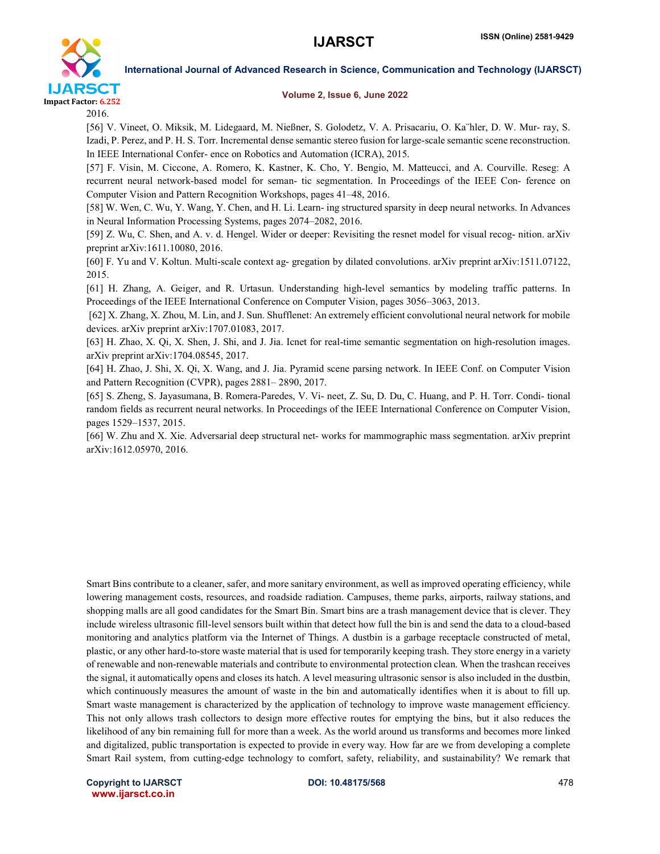

#### Volume 2, Issue 6, June 2022

2016.

[56] V. Vineet, O. Miksik, M. Lidegaard, M. Nießner, S. Golodetz, V. A. Prisacariu, O. Ka¨hler, D. W. Mur- ray, S. Izadi, P. Perez, and P. H. S. Torr. Incremental dense semantic stereo fusion for large-scale semantic scene reconstruction. In IEEE International Confer- ence on Robotics and Automation (ICRA), 2015.

[57] F. Visin, M. Ciccone, A. Romero, K. Kastner, K. Cho, Y. Bengio, M. Matteucci, and A. Courville. Reseg: A recurrent neural network-based model for seman- tic segmentation. In Proceedings of the IEEE Con- ference on Computer Vision and Pattern Recognition Workshops, pages 41–48, 2016.

[58] W. Wen, C. Wu, Y. Wang, Y. Chen, and H. Li. Learn- ing structured sparsity in deep neural networks. In Advances in Neural Information Processing Systems, pages 2074–2082, 2016.

[59] Z. Wu, C. Shen, and A. v. d. Hengel. Wider or deeper: Revisiting the resnet model for visual recog- nition. arXiv preprint arXiv:1611.10080, 2016.

[60] F. Yu and V. Koltun. Multi-scale context ag- gregation by dilated convolutions. arXiv preprint arXiv:1511.07122, 2015.

[61] H. Zhang, A. Geiger, and R. Urtasun. Understanding high-level semantics by modeling traffic patterns. In Proceedings of the IEEE International Conference on Computer Vision, pages 3056–3063, 2013.

[62] X. Zhang, X. Zhou, M. Lin, and J. Sun. Shufflenet: An extremely efficient convolutional neural network for mobile devices. arXiv preprint arXiv:1707.01083, 2017.

[63] H. Zhao, X. Qi, X. Shen, J. Shi, and J. Jia. Icnet for real-time semantic segmentation on high-resolution images. arXiv preprint arXiv:1704.08545, 2017.

[64] H. Zhao, J. Shi, X. Qi, X. Wang, and J. Jia. Pyramid scene parsing network. In IEEE Conf. on Computer Vision and Pattern Recognition (CVPR), pages 2881– 2890, 2017.

[65] S. Zheng, S. Jayasumana, B. Romera-Paredes, V. Vi- neet, Z. Su, D. Du, C. Huang, and P. H. Torr. Condi- tional random fields as recurrent neural networks. In Proceedings of the IEEE International Conference on Computer Vision, pages 1529–1537, 2015.

[66] W. Zhu and X. Xie. Adversarial deep structural net- works for mammographic mass segmentation. arXiv preprint arXiv:1612.05970, 2016.

Smart Bins contribute to a cleaner, safer, and more sanitary environment, as well as improved operating efficiency, while lowering management costs, resources, and roadside radiation. Campuses, theme parks, airports, railway stations, and shopping malls are all good candidates for the Smart Bin. Smart bins are a trash management device that is clever. They include wireless ultrasonic fill-level sensors built within that detect how full the bin is and send the data to a cloud-based monitoring and analytics platform via the Internet of Things. A dustbin is a garbage receptacle constructed of metal, plastic, or any other hard-to-store waste material that is used for temporarily keeping trash. They store energy in a variety of renewable and non-renewable materials and contribute to environmental protection clean. When the trashcan receives the signal, it automatically opens and closes its hatch. A level measuring ultrasonic sensor is also included in the dustbin, which continuously measures the amount of waste in the bin and automatically identifies when it is about to fill up. Smart waste management is characterized by the application of technology to improve waste management efficiency. This not only allows trash collectors to design more effective routes for emptying the bins, but it also reduces the likelihood of any bin remaining full for more than a week. As the world around us transforms and becomes more linked and digitalized, public transportation is expected to provide in every way. How far are we from developing a complete Smart Rail system, from cutting-edge technology to comfort, safety, reliability, and sustainability? We remark that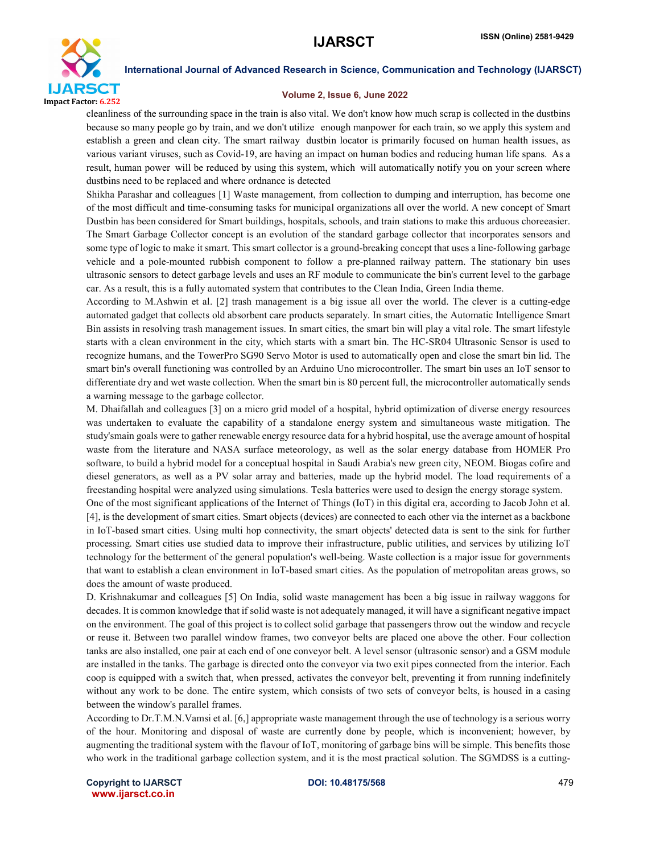

#### Volume 2, Issue 6, June 2022

cleanliness of the surrounding space in the train is also vital. We don't know how much scrap is collected in the dustbins because so many people go by train, and we don't utilize enough manpower for each train, so we apply this system and establish a green and clean city. The smart railway dustbin locator is primarily focused on human health issues, as various variant viruses, such as Covid-19, are having an impact on human bodies and reducing human life spans. As a result, human power will be reduced by using this system, which will automatically notify you on your screen where dustbins need to be replaced and where ordnance is detected

Shikha Parashar and colleagues [1] Waste management, from collection to dumping and interruption, has become one of the most difficult and time-consuming tasks for municipal organizations all over the world. A new concept of Smart Dustbin has been considered for Smart buildings, hospitals, schools, and train stations to make this arduous choreeasier. The Smart Garbage Collector concept is an evolution of the standard garbage collector that incorporates sensors and some type of logic to make it smart. This smart collector is a ground-breaking concept that uses a line-following garbage vehicle and a pole-mounted rubbish component to follow a pre-planned railway pattern. The stationary bin uses ultrasonic sensors to detect garbage levels and uses an RF module to communicate the bin's current level to the garbage car. As a result, this is a fully automated system that contributes to the Clean India, Green India theme.

According to M.Ashwin et al. [2] trash management is a big issue all over the world. The clever is a cutting-edge automated gadget that collects old absorbent care products separately. In smart cities, the Automatic Intelligence Smart Bin assists in resolving trash management issues. In smart cities, the smart bin will play a vital role. The smart lifestyle starts with a clean environment in the city, which starts with a smart bin. The HC-SR04 Ultrasonic Sensor is used to recognize humans, and the TowerPro SG90 Servo Motor is used to automatically open and close the smart bin lid. The smart bin's overall functioning was controlled by an Arduino Uno microcontroller. The smart bin uses an IoT sensor to differentiate dry and wet waste collection. When the smart bin is 80 percent full, the microcontroller automatically sends a warning message to the garbage collector.

M. Dhaifallah and colleagues [3] on a micro grid model of a hospital, hybrid optimization of diverse energy resources was undertaken to evaluate the capability of a standalone energy system and simultaneous waste mitigation. The study'smain goals were to gather renewable energy resource data for a hybrid hospital, use the average amount of hospital waste from the literature and NASA surface meteorology, as well as the solar energy database from HOMER Pro software, to build a hybrid model for a conceptual hospital in Saudi Arabia's new green city, NEOM. Biogas cofire and diesel generators, as well as a PV solar array and batteries, made up the hybrid model. The load requirements of a freestanding hospital were analyzed using simulations. Tesla batteries were used to design the energy storage system.

One of the most significant applications of the Internet of Things (IoT) in this digital era, according to Jacob John et al. [4], is the development of smart cities. Smart objects (devices) are connected to each other via the internet as a backbone in IoT-based smart cities. Using multi hop connectivity, the smart objects' detected data is sent to the sink for further processing. Smart cities use studied data to improve their infrastructure, public utilities, and services by utilizing IoT technology for the betterment of the general population's well-being. Waste collection is a major issue for governments that want to establish a clean environment in IoT-based smart cities. As the population of metropolitan areas grows, so does the amount of waste produced.

D. Krishnakumar and colleagues [5] On India, solid waste management has been a big issue in railway waggons for decades. It is common knowledge that if solid waste is not adequately managed, it will have a significant negative impact on the environment. The goal of this project is to collect solid garbage that passengers throw out the window and recycle or reuse it. Between two parallel window frames, two conveyor belts are placed one above the other. Four collection tanks are also installed, one pair at each end of one conveyor belt. A level sensor (ultrasonic sensor) and a GSM module are installed in the tanks. The garbage is directed onto the conveyor via two exit pipes connected from the interior. Each coop is equipped with a switch that, when pressed, activates the conveyor belt, preventing it from running indefinitely without any work to be done. The entire system, which consists of two sets of conveyor belts, is housed in a casing between the window's parallel frames.

According to Dr.T.M.N.Vamsi et al. [6,] appropriate waste management through the use of technology is a serious worry of the hour. Monitoring and disposal of waste are currently done by people, which is inconvenient; however, by augmenting the traditional system with the flavour of IoT, monitoring of garbage bins will be simple. This benefits those who work in the traditional garbage collection system, and it is the most practical solution. The SGMDSS is a cutting-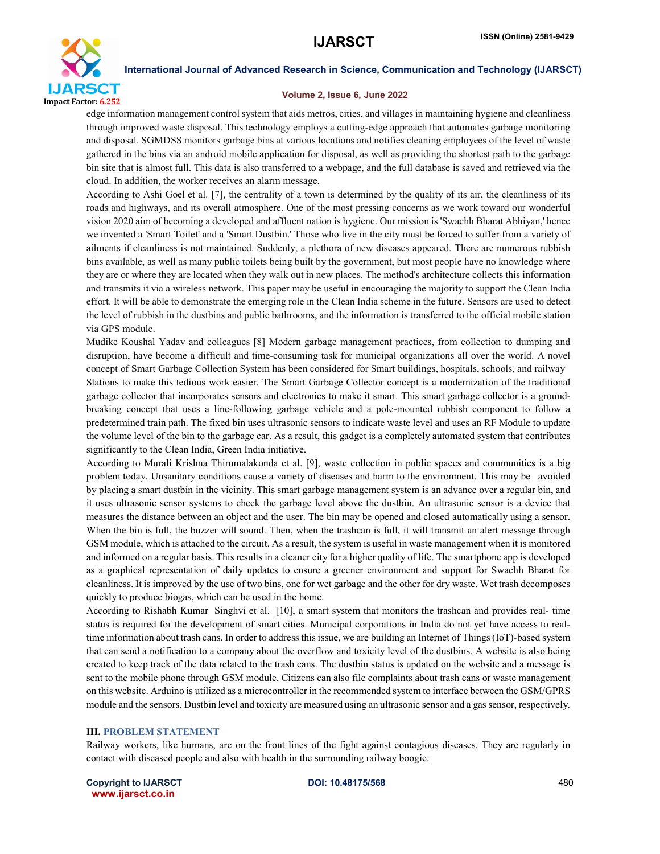

#### Volume 2, Issue 6, June 2022

edge information management control system that aids metros, cities, and villages in maintaining hygiene and cleanliness through improved waste disposal. This technology employs a cutting-edge approach that automates garbage monitoring and disposal. SGMDSS monitors garbage bins at various locations and notifies cleaning employees of the level of waste gathered in the bins via an android mobile application for disposal, as well as providing the shortest path to the garbage bin site that is almost full. This data is also transferred to a webpage, and the full database is saved and retrieved via the cloud. In addition, the worker receives an alarm message.

According to Ashi Goel et al. [7], the centrality of a town is determined by the quality of its air, the cleanliness of its roads and highways, and its overall atmosphere. One of the most pressing concerns as we work toward our wonderful vision 2020 aim of becoming a developed and affluent nation is hygiene. Our mission is 'Swachh Bharat Abhiyan,' hence we invented a 'Smart Toilet' and a 'Smart Dustbin.' Those who live in the city must be forced to suffer from a variety of ailments if cleanliness is not maintained. Suddenly, a plethora of new diseases appeared. There are numerous rubbish bins available, as well as many public toilets being built by the government, but most people have no knowledge where they are or where they are located when they walk out in new places. The method's architecture collects this information and transmits it via a wireless network. This paper may be useful in encouraging the majority to support the Clean India effort. It will be able to demonstrate the emerging role in the Clean India scheme in the future. Sensors are used to detect the level of rubbish in the dustbins and public bathrooms, and the information is transferred to the official mobile station via GPS module.

Mudike Koushal Yadav and colleagues [8] Modern garbage management practices, from collection to dumping and disruption, have become a difficult and time-consuming task for municipal organizations all over the world. A novel concept of Smart Garbage Collection System has been considered for Smart buildings, hospitals, schools, and railway Stations to make this tedious work easier. The Smart Garbage Collector concept is a modernization of the traditional garbage collector that incorporates sensors and electronics to make it smart. This smart garbage collector is a groundbreaking concept that uses a line-following garbage vehicle and a pole-mounted rubbish component to follow a predetermined train path. The fixed bin uses ultrasonic sensors to indicate waste level and uses an RF Module to update the volume level of the bin to the garbage car. As a result, this gadget is a completely automated system that contributes significantly to the Clean India, Green India initiative.

According to Murali Krishna Thirumalakonda et al. [9], waste collection in public spaces and communities is a big problem today. Unsanitary conditions cause a variety of diseases and harm to the environment. This may be avoided by placing a smart dustbin in the vicinity. This smart garbage management system is an advance over a regular bin, and it uses ultrasonic sensor systems to check the garbage level above the dustbin. An ultrasonic sensor is a device that measures the distance between an object and the user. The bin may be opened and closed automatically using a sensor. When the bin is full, the buzzer will sound. Then, when the trashcan is full, it will transmit an alert message through GSM module, which is attached to the circuit. As a result, the system is useful in waste management when it is monitored and informed on a regular basis. Thisresults in a cleaner city for a higher quality of life. The smartphone app is developed as a graphical representation of daily updates to ensure a greener environment and support for Swachh Bharat for cleanliness. It is improved by the use of two bins, one for wet garbage and the other for dry waste. Wet trash decomposes quickly to produce biogas, which can be used in the home.

According to Rishabh Kumar Singhvi et al. [10], a smart system that monitors the trashcan and provides real- time status is required for the development of smart cities. Municipal corporations in India do not yet have access to realtime information about trash cans. In order to address this issue, we are building an Internet of Things (IoT)-based system that can send a notification to a company about the overflow and toxicity level of the dustbins. A website is also being created to keep track of the data related to the trash cans. The dustbin status is updated on the website and a message is sent to the mobile phone through GSM module. Citizens can also file complaints about trash cans or waste management on this website. Arduino is utilized as a microcontroller in the recommended system to interface between the GSM/GPRS module and the sensors. Dustbin level and toxicity are measured using an ultrasonic sensor and a gas sensor, respectively.

#### III. PROBLEM STATEMENT

Railway workers, like humans, are on the front lines of the fight against contagious diseases. They are regularly in contact with diseased people and also with health in the surrounding railway boogie.

Copyright to IJARSCT **DOI: 10.48175/568** 480 www.ijarsct.co.in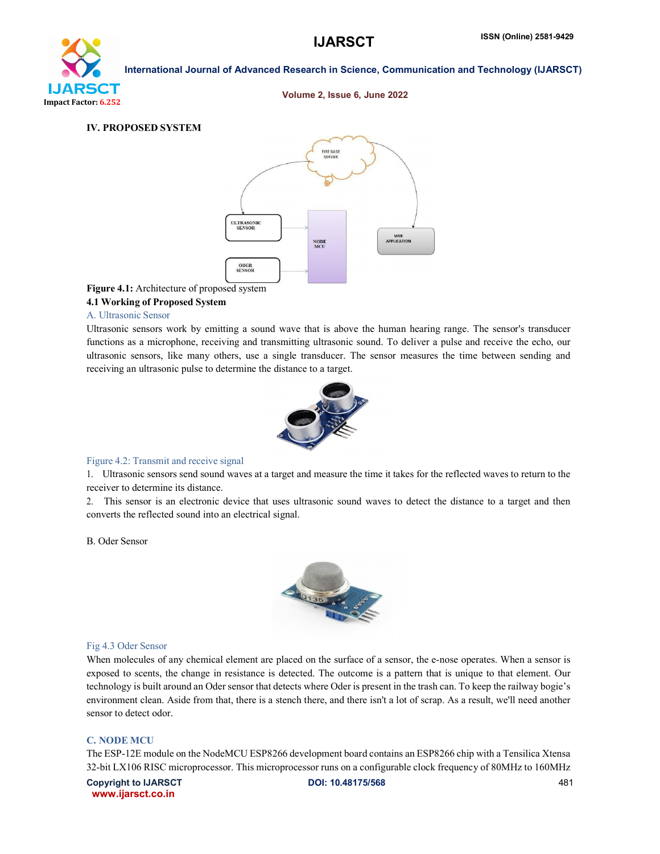# **IJARSCT** Impact Factor: 6.252

## International Journal of Advanced Research in Science, Communication and Technology (IJARSCT)

Volume 2, Issue 6, June 2022

#### IV. PROPOSED SYSTEM



#### Figure 4.1: Architecture of proposed system

#### 4.1 Working of Proposed System

#### A. Ultrasonic Sensor

Ultrasonic sensors work by emitting a sound wave that is above the human hearing range. The sensor's transducer functions as a microphone, receiving and transmitting ultrasonic sound. To deliver a pulse and receive the echo, our ultrasonic sensors, like many others, use a single transducer. The sensor measures the time between sending and receiving an ultrasonic pulse to determine the distance to a target.



#### Figure 4.2: Transmit and receive signal

1. Ultrasonic sensors send sound waves at a target and measure the time it takes for the reflected waves to return to the receiver to determine its distance.

2. This sensor is an electronic device that uses ultrasonic sound waves to detect the distance to a target and then converts the reflected sound into an electrical signal.

#### B. Oder Sensor



#### Fig 4.3 Oder Sensor

When molecules of any chemical element are placed on the surface of a sensor, the e-nose operates. When a sensor is exposed to scents, the change in resistance is detected. The outcome is a pattern that is unique to that element. Our technology is built around an Oder sensor that detects where Oder is present in the trash can. To keep the railway bogie's environment clean. Aside from that, there is a stench there, and there isn't a lot of scrap. As a result, we'll need another sensor to detect odor.

#### C. NODE MCU

The ESP-12E module on the NodeMCU ESP8266 development board contains an ESP8266 chip with a Tensilica Xtensa 32-bit LX106 RISC microprocessor. This microprocessor runs on a configurable clock frequency of 80MHz to 160MHz

Copyright to IJARSCT **DOI: 10.48175/568** 481 www.ijarsct.co.in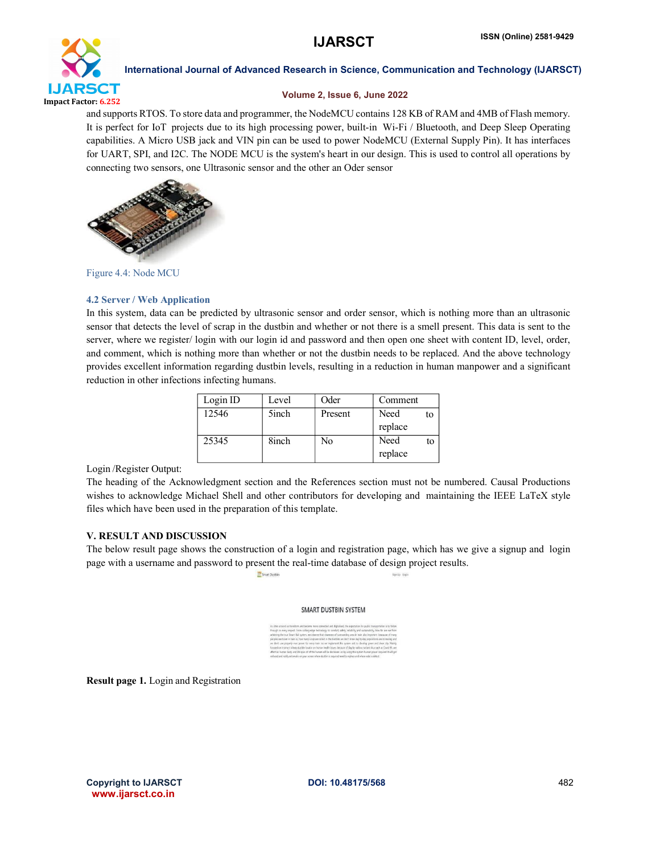

#### Volume 2, Issue 6, June 2022

and supports RTOS. To store data and programmer, the NodeMCU contains 128 KB of RAM and 4MB of Flash memory. It is perfect for IoT projects due to its high processing power, built-in Wi-Fi / Bluetooth, and Deep Sleep Operating capabilities. A Micro USB jack and VIN pin can be used to power NodeMCU (External Supply Pin). It has interfaces for UART, SPI, and I2C. The NODE MCU is the system's heart in our design. This is used to control all operations by connecting two sensors, one Ultrasonic sensor and the other an Oder sensor



Figure 4.4: Node MCU

#### 4.2 Server / Web Application

In this system, data can be predicted by ultrasonic sensor and order sensor, which is nothing more than an ultrasonic sensor that detects the level of scrap in the dustbin and whether or not there is a smell present. This data is sent to the server, where we register/ login with our login id and password and then open one sheet with content ID, level, order, and comment, which is nothing more than whether or not the dustbin needs to be replaced. And the above technology provides excellent information regarding dustbin levels, resulting in a reduction in human manpower and a significant reduction in other infections infecting humans.

| Login ID | Level | Oder    | Comment         |    |
|----------|-------|---------|-----------------|----|
| 12546    | 5inch | Present | Need            | to |
|          |       |         | replace         |    |
| 25345    | 8inch | No      | Need<br>replace | to |

Login /Register Output:

The heading of the Acknowledgment section and the References section must not be numbered. Causal Productions wishes to acknowledge Michael Shell and other contributors for developing and maintaining the IEEE LaTeX style files which have been used in the preparation of this template.

#### V. RESULT AND DISCUSSION

The below result page shows the construction of a login and registration page, which has we give a signup and login page with a username and password to present the real-time database of design project results.

Smart Dusthi

#### SMART DUSTBIN SYSTEM

Result page 1. Login and Registration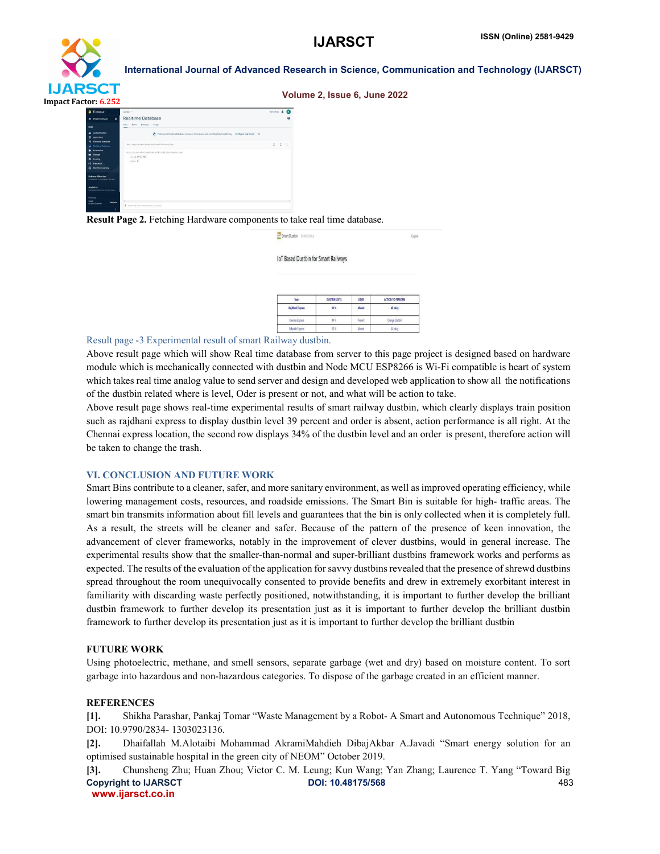

| 5C I<br>or $6.252$                                                                                                                             |                                                                                                                                                      | Volume 2, Issue 6, June 2022 |
|------------------------------------------------------------------------------------------------------------------------------------------------|------------------------------------------------------------------------------------------------------------------------------------------------------|------------------------------|
| Firebase                                                                                                                                       | detter v                                                                                                                                             | Gam-docs &                   |
| <b>A</b> Project Overview<br>۰                                                                                                                 | <b>Realtime Database</b>                                                                                                                             |                              |
| <b>Build</b>                                                                                                                                   | Backcos Cleage<br>Cona i<br><b>Th</b> diese                                                                                                          |                              |
| 21 Authorization<br><b>P App Check</b><br><b>R</b> Firectory Estabase                                                                          | C Protect your Realtime Database resources from abuse, soch as billing fraud or phéring Centiques App Check X                                        |                              |
| <b>Car Realtime Databone</b><br><b>&amp;</b> Esterators<br><b>B</b> Street<br><b>C</b> Hosting<br><b>F-1 Functions</b><br>Co. Machine Learning | 00 https://birthin.2aids-default rids feetupers.com<br>https://dustbisi2eedbidefailt-htds.finalasein.com/<br>Invel: 29.51724<br>mlim of <sub>0</sub> | 2 × 1                        |
| <b>Release &amp; Monitor</b><br>Dokkins followers led Lt.<br><b>Analytics</b><br>Castronic Feature, Livera, Cars.,                             |                                                                                                                                                      |                              |
| <b>Receive</b><br><b>Sport</b><br><b>Lingrade</b><br>No cred Makewith                                                                          | <b>Q</b> Theraping Equation Institut Makes Security and                                                                                              | .                            |

Result Page 2. Fetching Hardware components to take real time database.

| <b>See Smart Dustbin</b> Dustbin Status |  | agout |  |
|-----------------------------------------|--|-------|--|
|-----------------------------------------|--|-------|--|

IoT Based Dustbin for Smart Railways

| Train<br>Rajdhani Express | <b>DUSTRIN LEVEL</b><br>39% | ODER<br>Absent | ACTION TO PERFORM<br><b>All okay</b> |
|---------------------------|-----------------------------|----------------|--------------------------------------|
|                           |                             |                |                                      |
| Sahvadn Express           | 12%                         | Absent         | Allistar                             |

#### Result page -3 Experimental result of smart Railway dustbin.

Above result page which will show Real time database from server to this page project is designed based on hardware module which is mechanically connected with dustbin and Node MCU ESP8266 is Wi-Fi compatible is heart of system which takes real time analog value to send server and design and developed web application to show all the notifications of the dustbin related where is level, Oder is present or not, and what will be action to take.

Above result page shows real-time experimental results of smart railway dustbin, which clearly displays train position such as rajdhani express to display dustbin level 39 percent and order is absent, action performance is all right. At the Chennai express location, the second row displays 34% of the dustbin level and an order is present, therefore action will be taken to change the trash.

#### VI. CONCLUSION AND FUTURE WORK

Smart Bins contribute to a cleaner, safer, and more sanitary environment, as well as improved operating efficiency, while lowering management costs, resources, and roadside emissions. The Smart Bin is suitable for high- traffic areas. The smart bin transmits information about fill levels and guarantees that the bin is only collected when it is completely full. As a result, the streets will be cleaner and safer. Because of the pattern of the presence of keen innovation, the advancement of clever frameworks, notably in the improvement of clever dustbins, would in general increase. The experimental results show that the smaller-than-normal and super-brilliant dustbins framework works and performs as expected. The results of the evaluation of the application for savvy dustbins revealed that the presence of shrewd dustbins spread throughout the room unequivocally consented to provide benefits and drew in extremely exorbitant interest in familiarity with discarding waste perfectly positioned, notwithstanding, it is important to further develop the brilliant dustbin framework to further develop its presentation just as it is important to further develop the brilliant dustbin framework to further develop its presentation just as it is important to further develop the brilliant dustbin

#### FUTURE WORK

Using photoelectric, methane, and smell sensors, separate garbage (wet and dry) based on moisture content. To sort garbage into hazardous and non-hazardous categories. To dispose of the garbage created in an efficient manner.

#### REFERENCES

[1]. Shikha Parashar, Pankaj Tomar "Waste Management by a Robot- A Smart and Autonomous Technique" 2018, DOI: 10.9790/2834- 1303023136.

[2]. Dhaifallah M.Alotaibi Mohammad AkramiMahdieh DibajAkbar A.Javadi "Smart energy solution for an optimised sustainable hospital in the green city of NEOM" October 2019.

Copyright to IJARSCT DOI: 10.48175/568 483 www.ijarsct.co.in [3]. Chunsheng Zhu; Huan Zhou; Victor C. M. Leung; Kun Wang; Yan Zhang; Laurence T. Yang "Toward Big